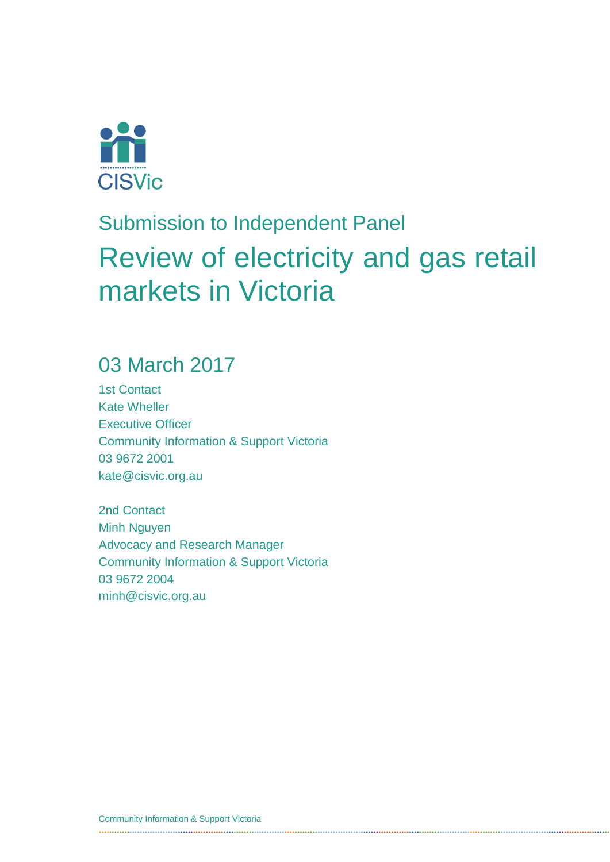

# Submission to Independent Panel Review of electricity and gas retail markets in Victoria

### 03 March 2017

1st Contact Kate Wheller Executive Officer Community Information & Support Victoria 03 9672 2001 kate@cisvic.org.au

2nd Contact Minh Nguyen Advocacy and Research Manager Community Information & Support Victoria 03 9672 2004 minh@cisvic.org.au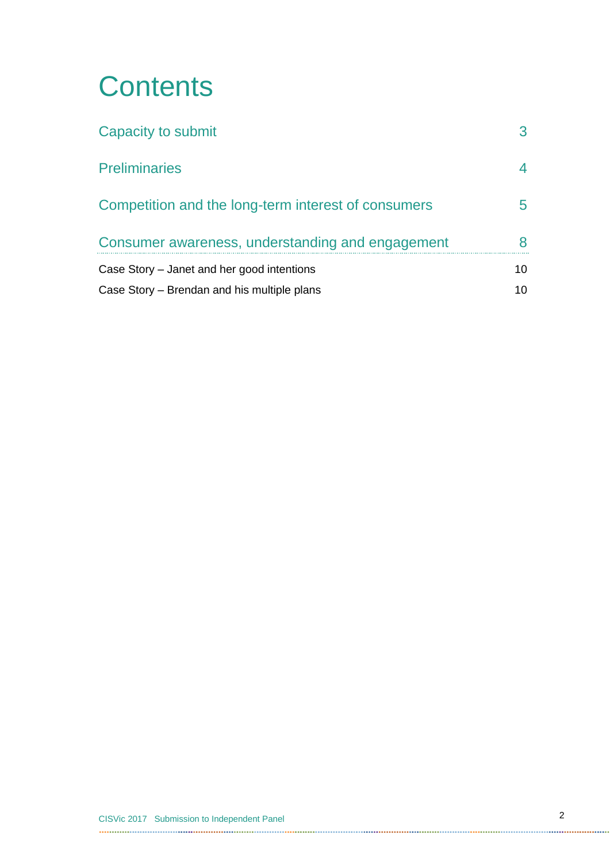# **Contents**

| Capacity to submit                                                                                      |    |
|---------------------------------------------------------------------------------------------------------|----|
| <b>Preliminaries</b>                                                                                    |    |
| Competition and the long-term interest of consumers<br>Consumer awareness, understanding and engagement |    |
|                                                                                                         |    |
| Case Story – Brendan and his multiple plans                                                             | 10 |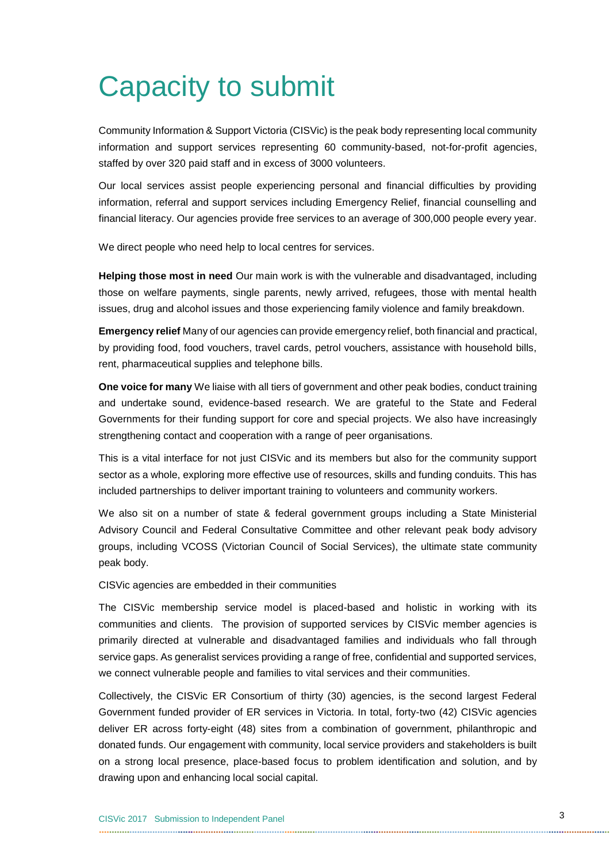# <span id="page-2-0"></span>Capacity to submit

Community Information & Support Victoria (CISVic) is the peak body representing local community information and support services representing 60 community-based, not-for-profit agencies, staffed by over 320 paid staff and in excess of 3000 volunteers.

Our local services assist people experiencing personal and financial difficulties by providing information, referral and support services including Emergency Relief, financial counselling and financial literacy. Our agencies provide free services to an average of 300,000 people every year.

We direct people who need help to local centres for services.

**Helping those most in need** Our main work is with the vulnerable and disadvantaged, including those on welfare payments, single parents, newly arrived, refugees, those with mental health issues, drug and alcohol issues and those experiencing family violence and family breakdown.

**Emergency relief** Many of our agencies can provide emergency relief, both financial and practical, by providing food, food vouchers, travel cards, petrol vouchers, assistance with household bills, rent, pharmaceutical supplies and telephone bills.

**One voice for many** We liaise with all tiers of government and other peak bodies, conduct training and undertake sound, evidence-based research. We are grateful to the State and Federal Governments for their funding support for core and special projects. We also have increasingly strengthening contact and cooperation with a range of peer organisations.

This is a vital interface for not just CISVic and its members but also for the community support sector as a whole, exploring more effective use of resources, skills and funding conduits. This has included partnerships to deliver important training to volunteers and community workers.

We also sit on a number of state & federal government groups including a State Ministerial Advisory Council and Federal Consultative Committee and other relevant peak body advisory groups, including VCOSS (Victorian Council of Social Services), the ultimate state community peak body.

CISVic agencies are embedded in their communities

The CISVic membership service model is placed-based and holistic in working with its communities and clients. The provision of supported services by CISVic member agencies is primarily directed at vulnerable and disadvantaged families and individuals who fall through service gaps. As generalist services providing a range of free, confidential and supported services, we connect vulnerable people and families to vital services and their communities.

Collectively, the CISVic ER Consortium of thirty (30) agencies, is the second largest Federal Government funded provider of ER services in Victoria. In total, forty-two (42) CISVic agencies deliver ER across forty-eight (48) sites from a combination of government, philanthropic and donated funds. Our engagement with community, local service providers and stakeholders is built on a strong local presence, place-based focus to problem identification and solution, and by drawing upon and enhancing local social capital.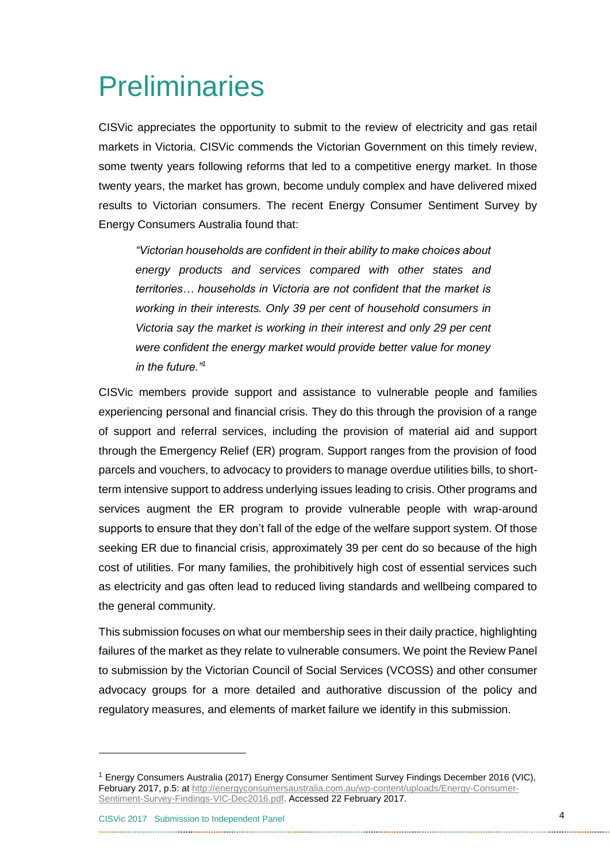# <span id="page-3-0"></span>**Preliminaries**

CISVic appreciates the opportunity to submit to the review of electricity and gas retail markets in Victoria. CISVic commends the Victorian Government on this timely review, some twenty years following reforms that led to a competitive energy market. In those twenty years, the market has grown, become unduly complex and have delivered mixed results to Victorian consumers. The recent Energy Consumer Sentiment Survey by Energy Consumers Australia found that:

*"Victorian households are confident in their ability to make choices about energy products and services compared with other states and territories… households in Victoria are not confident that the market is working in their interests. Only 39 per cent of household consumers in Victoria say the market is working in their interest and only 29 per cent were confident the energy market would provide better value for money in the future."<sup>1</sup>*

CISVic members provide support and assistance to vulnerable people and families experiencing personal and financial crisis. They do this through the provision of a range of support and referral services, including the provision of material aid and support through the Emergency Relief (ER) program. Support ranges from the provision of food parcels and vouchers, to advocacy to providers to manage overdue utilities bills, to shortterm intensive support to address underlying issues leading to crisis. Other programs and services augment the ER program to provide vulnerable people with wrap-around supports to ensure that they don't fall of the edge of the welfare support system. Of those seeking ER due to financial crisis, approximately 39 per cent do so because of the high cost of utilities. For many families, the prohibitively high cost of essential services such as electricity and gas often lead to reduced living standards and wellbeing compared to the general community.

This submission focuses on what our membership sees in their daily practice, highlighting failures of the market as they relate to vulnerable consumers. We point the Review Panel to submission by the Victorian Council of Social Services (VCOSS) and other consumer advocacy groups for a more detailed and authorative discussion of the policy and regulatory measures, and elements of market failure we identify in this submission.

-

<sup>1</sup> Energy Consumers Australia (2017) Energy Consumer Sentiment Survey Findings December 2016 (VIC), February 2017, p.5: at [http://energyconsumersaustralia.com.au/wp-content/uploads/Energy-Consumer-](http://energyconsumersaustralia.com.au/wp-content/uploads/Energy-Consumer-Sentiment-Survey-Findings-VIC-Dec2016.pdf)[Sentiment-Survey-Findings-VIC-Dec2016.pdf.](http://energyconsumersaustralia.com.au/wp-content/uploads/Energy-Consumer-Sentiment-Survey-Findings-VIC-Dec2016.pdf) Accessed 22 February 2017.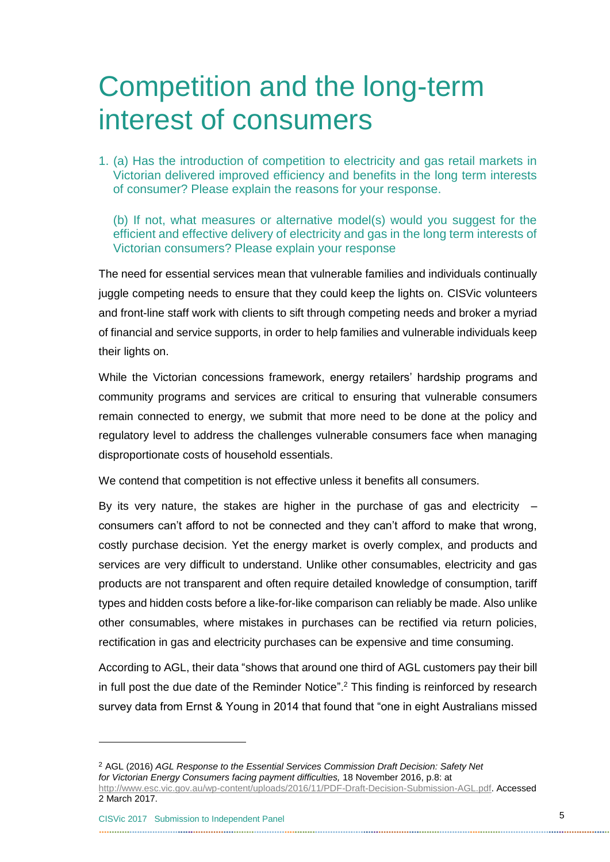## <span id="page-4-0"></span>Competition and the long-term interest of consumers

1. (a) Has the introduction of competition to electricity and gas retail markets in Victorian delivered improved efficiency and benefits in the long term interests of consumer? Please explain the reasons for your response.

(b) If not, what measures or alternative model(s) would you suggest for the efficient and effective delivery of electricity and gas in the long term interests of Victorian consumers? Please explain your response

The need for essential services mean that vulnerable families and individuals continually juggle competing needs to ensure that they could keep the lights on. CISVic volunteers and front-line staff work with clients to sift through competing needs and broker a myriad of financial and service supports, in order to help families and vulnerable individuals keep their lights on.

While the Victorian concessions framework, energy retailers' hardship programs and community programs and services are critical to ensuring that vulnerable consumers remain connected to energy, we submit that more need to be done at the policy and regulatory level to address the challenges vulnerable consumers face when managing disproportionate costs of household essentials.

We contend that competition is not effective unless it benefits all consumers.

By its very nature, the stakes are higher in the purchase of gas and electricity  $$ consumers can't afford to not be connected and they can't afford to make that wrong, costly purchase decision. Yet the energy market is overly complex, and products and services are very difficult to understand. Unlike other consumables, electricity and gas products are not transparent and often require detailed knowledge of consumption, tariff types and hidden costs before a like-for-like comparison can reliably be made. Also unlike other consumables, where mistakes in purchases can be rectified via return policies, rectification in gas and electricity purchases can be expensive and time consuming.

According to AGL, their data "shows that around one third of AGL customers pay their bill in full post the due date of the Reminder Notice".<sup>2</sup> This finding is reinforced by research survey data from Ernst & Young in 2014 that found that "one in eight Australians missed

1

<sup>2</sup> AGL (2016) *AGL Response to the Essential Services Commission Draft Decision: Safety Net for Victorian Energy Consumers facing payment difficulties,* 18 November 2016, p.8: at [http://www.esc.vic.gov.au/wp-content/uploads/2016/11/PDF-Draft-Decision-Submission-AGL.pdf.](http://www.esc.vic.gov.au/wp-content/uploads/2016/11/PDF-Draft-Decision-Submission-AGL.pdf) Accessed

<sup>2</sup> March 2017.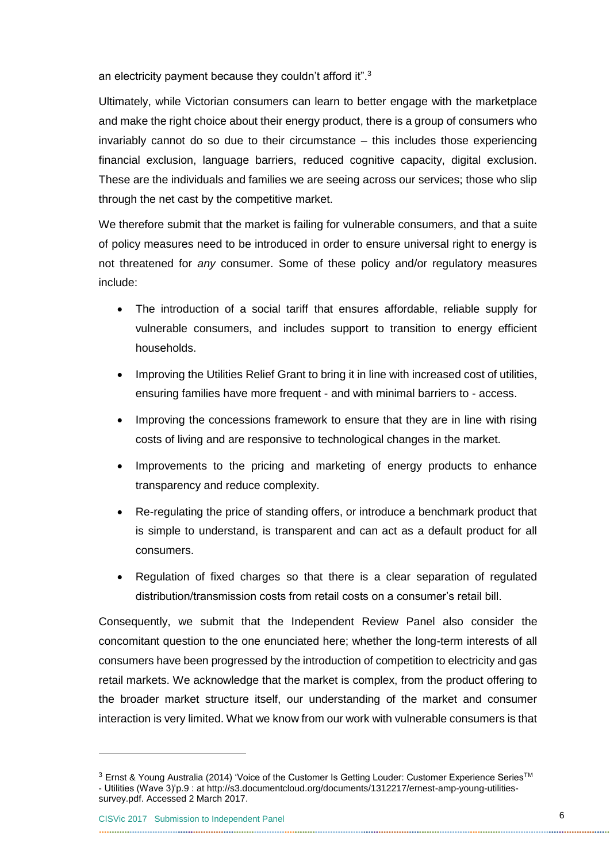an electricity payment because they couldn't afford it".<sup>3</sup>

Ultimately, while Victorian consumers can learn to better engage with the marketplace and make the right choice about their energy product, there is a group of consumers who invariably cannot do so due to their circumstance – this includes those experiencing financial exclusion, language barriers, reduced cognitive capacity, digital exclusion. These are the individuals and families we are seeing across our services; those who slip through the net cast by the competitive market.

We therefore submit that the market is failing for vulnerable consumers, and that a suite of policy measures need to be introduced in order to ensure universal right to energy is not threatened for *any* consumer. Some of these policy and/or regulatory measures include:

- The introduction of a social tariff that ensures affordable, reliable supply for vulnerable consumers, and includes support to transition to energy efficient households.
- Improving the Utilities Relief Grant to bring it in line with increased cost of utilities, ensuring families have more frequent - and with minimal barriers to - access.
- Improving the concessions framework to ensure that they are in line with rising costs of living and are responsive to technological changes in the market.
- Improvements to the pricing and marketing of energy products to enhance transparency and reduce complexity.
- Re-regulating the price of standing offers, or introduce a benchmark product that is simple to understand, is transparent and can act as a default product for all consumers.
- Regulation of fixed charges so that there is a clear separation of regulated distribution/transmission costs from retail costs on a consumer's retail bill.

Consequently, we submit that the Independent Review Panel also consider the concomitant question to the one enunciated here; whether the long-term interests of all consumers have been progressed by the introduction of competition to electricity and gas retail markets. We acknowledge that the market is complex, from the product offering to the broader market structure itself, our understanding of the market and consumer interaction is very limited. What we know from our work with vulnerable consumers is that

-

<sup>&</sup>lt;sup>3</sup> Ernst & Young Australia (2014) 'Voice of the Customer Is Getting Louder: Customer Experience Series<sup>™</sup> - Utilities (Wave 3)'p.9 : at http://s3.documentcloud.org/documents/1312217/ernest-amp-young-utilitiessurvey.pdf. Accessed 2 March 2017.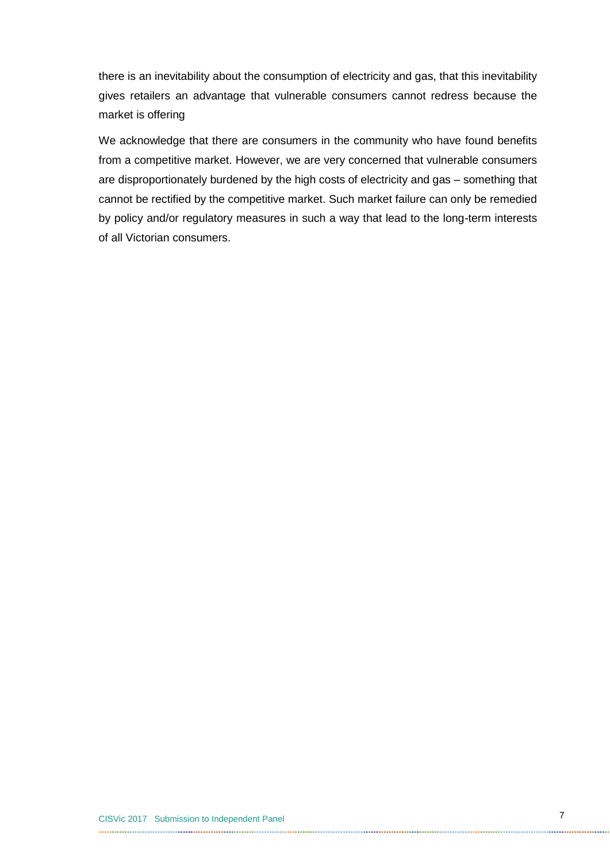there is an inevitability about the consumption of electricity and gas, that this inevitability gives retailers an advantage that vulnerable consumers cannot redress because the market is offering

We acknowledge that there are consumers in the community who have found benefits from a competitive market. However, we are very concerned that vulnerable consumers are disproportionately burdened by the high costs of electricity and gas – something that cannot be rectified by the competitive market. Such market failure can only be remedied by policy and/or regulatory measures in such a way that lead to the long-term interests of all Victorian consumers.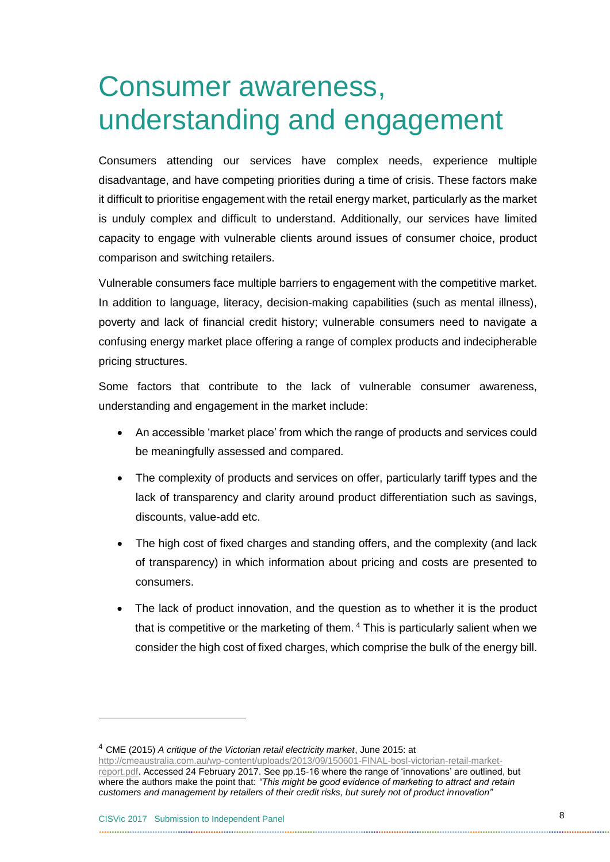### <span id="page-7-0"></span>Consumer awareness, understanding and engagement

Consumers attending our services have complex needs, experience multiple disadvantage, and have competing priorities during a time of crisis. These factors make it difficult to prioritise engagement with the retail energy market, particularly as the market is unduly complex and difficult to understand. Additionally, our services have limited capacity to engage with vulnerable clients around issues of consumer choice, product comparison and switching retailers.

Vulnerable consumers face multiple barriers to engagement with the competitive market. In addition to language, literacy, decision-making capabilities (such as mental illness), poverty and lack of financial credit history; vulnerable consumers need to navigate a confusing energy market place offering a range of complex products and indecipherable pricing structures.

Some factors that contribute to the lack of vulnerable consumer awareness, understanding and engagement in the market include:

- An accessible 'market place' from which the range of products and services could be meaningfully assessed and compared.
- The complexity of products and services on offer, particularly tariff types and the lack of transparency and clarity around product differentiation such as savings, discounts, value-add etc.
- The high cost of fixed charges and standing offers, and the complexity (and lack of transparency) in which information about pricing and costs are presented to consumers.
- The lack of product innovation, and the question as to whether it is the product that is competitive or the marketing of them. <sup>4</sup> This is particularly salient when we consider the high cost of fixed charges, which comprise the bulk of the energy bill.

<sup>4</sup> CME (2015) *A critique of the Victorian retail electricity market*, June 2015: at [http://cmeaustralia.com.au/wp-content/uploads/2013/09/150601-FINAL-bosl-victorian-retail-market](http://cmeaustralia.com.au/wp-content/uploads/2013/09/150601-FINAL-bosl-victorian-retail-market-report.pdf)[report.pdf.](http://cmeaustralia.com.au/wp-content/uploads/2013/09/150601-FINAL-bosl-victorian-retail-market-report.pdf) Accessed 24 February 2017. See pp.15-16 where the range of 'innovations' are outlined, but where the authors make the point that: *"This might be good evidence of marketing to attract and retain customers and management by retailers of their credit risks, but surely not of product innovation"*

-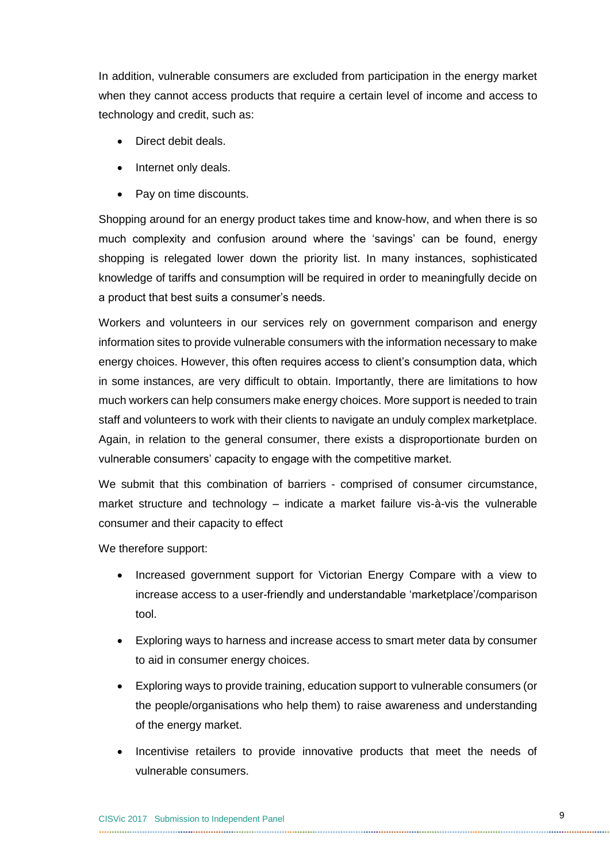In addition, vulnerable consumers are excluded from participation in the energy market when they cannot access products that require a certain level of income and access to technology and credit, such as:

- Direct debit deals.
- Internet only deals.
- Pay on time discounts.

Shopping around for an energy product takes time and know-how, and when there is so much complexity and confusion around where the 'savings' can be found, energy shopping is relegated lower down the priority list. In many instances, sophisticated knowledge of tariffs and consumption will be required in order to meaningfully decide on a product that best suits a consumer's needs.

Workers and volunteers in our services rely on government comparison and energy information sites to provide vulnerable consumers with the information necessary to make energy choices. However, this often requires access to client's consumption data, which in some instances, are very difficult to obtain. Importantly, there are limitations to how much workers can help consumers make energy choices. More support is needed to train staff and volunteers to work with their clients to navigate an unduly complex marketplace. Again, in relation to the general consumer, there exists a disproportionate burden on vulnerable consumers' capacity to engage with the competitive market.

We submit that this combination of barriers - comprised of consumer circumstance, market structure and technology – indicate a market failure vis-à-vis the vulnerable consumer and their capacity to effect

We therefore support:

- Increased government support for Victorian Energy Compare with a view to increase access to a user-friendly and understandable 'marketplace'/comparison tool.
- Exploring ways to harness and increase access to smart meter data by consumer to aid in consumer energy choices.
- Exploring ways to provide training, education support to vulnerable consumers (or the people/organisations who help them) to raise awareness and understanding of the energy market.
- Incentivise retailers to provide innovative products that meet the needs of vulnerable consumers.